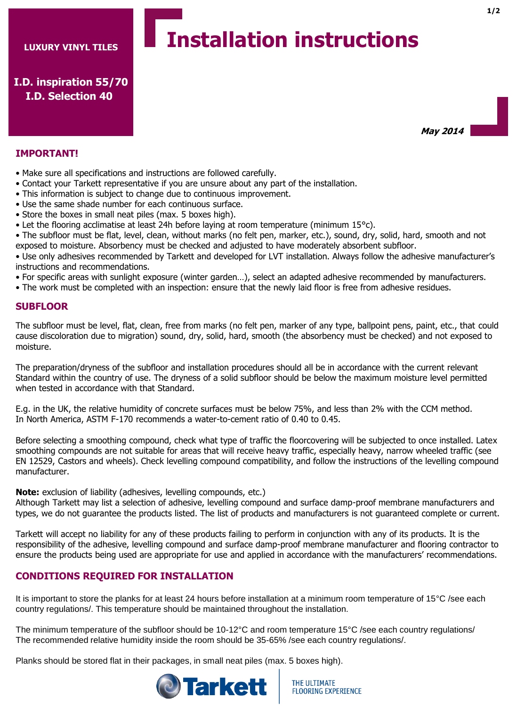# **Installation instructions**

**I.D. inspiration 55/70 I.D. Selection 40**

**IMPORTANT!**

- Make sure all specifications and instructions are followed carefully.
- Contact your Tarkett representative if you are unsure about any part of the installation.
- This information is subject to change due to continuous improvement.
- Use the same shade number for each continuous surface.
- Store the boxes in small neat piles (max. 5 boxes high).
- Let the flooring acclimatise at least 24h before laying at room temperature (minimum 15°c).
- The subfloor must be flat, level, clean, without marks (no felt pen, marker, etc.), sound, dry, solid, hard, smooth and not exposed to moisture. Absorbency must be checked and adjusted to have moderately absorbent subfloor.

• Use only adhesives recommended by Tarkett and developed for LVT installation. Always follow the adhesive manufacturer's instructions and recommendations.

- For specific areas with sunlight exposure (winter garden…), select an adapted adhesive recommended by manufacturers.
- The work must be completed with an inspection: ensure that the newly laid floor is free from adhesive residues.

#### **SUBFLOOR**

The subfloor must be level, flat, clean, free from marks (no felt pen, marker of any type, ballpoint pens, paint, etc., that could cause discoloration due to migration) sound, dry, solid, hard, smooth (the absorbency must be checked) and not exposed to moisture.

The preparation/dryness of the subfloor and installation procedures should all be in accordance with the current relevant Standard within the country of use. The dryness of a solid subfloor should be below the maximum moisture level permitted when tested in accordance with that Standard.

E.g. in the UK, the relative humidity of concrete surfaces must be below 75%, and less than 2% with the CCM method. In North America, ASTM F-170 recommends a water-to-cement ratio of 0.40 to 0.45.

Before selecting a smoothing compound, check what type of traffic the floorcovering will be subjected to once installed. Latex smoothing compounds are not suitable for areas that will receive heavy traffic, especially heavy, narrow wheeled traffic (see EN 12529, Castors and wheels). Check levelling compound compatibility, and follow the instructions of the levelling compound manufacturer.

**Note:** exclusion of liability (adhesives, levelling compounds, etc.)

Although Tarkett may list a selection of adhesive, levelling compound and surface damp-proof membrane manufacturers and types, we do not guarantee the products listed. The list of products and manufacturers is not guaranteed complete or current.

Tarkett will accept no liability for any of these products failing to perform in conjunction with any of its products. It is the responsibility of the adhesive, levelling compound and surface damp-proof membrane manufacturer and flooring contractor to ensure the products being used are appropriate for use and applied in accordance with the manufacturers' recommendations.

## **CONDITIONS REQUIRED FOR INSTALLATION**

It is important to store the planks for at least 24 hours before installation at a minimum room temperature of 15°C /see each country regulations/. This temperature should be maintained throughout the installation.

The minimum temperature of the subfloor should be 10-12°C and room temperature 15°C /see each country regulations/ The recommended relative humidity inside the room should be 35-65% /see each country regulations/.

Planks should be stored flat in their packages, in small neat piles (max. 5 boxes high).



**May 2014**